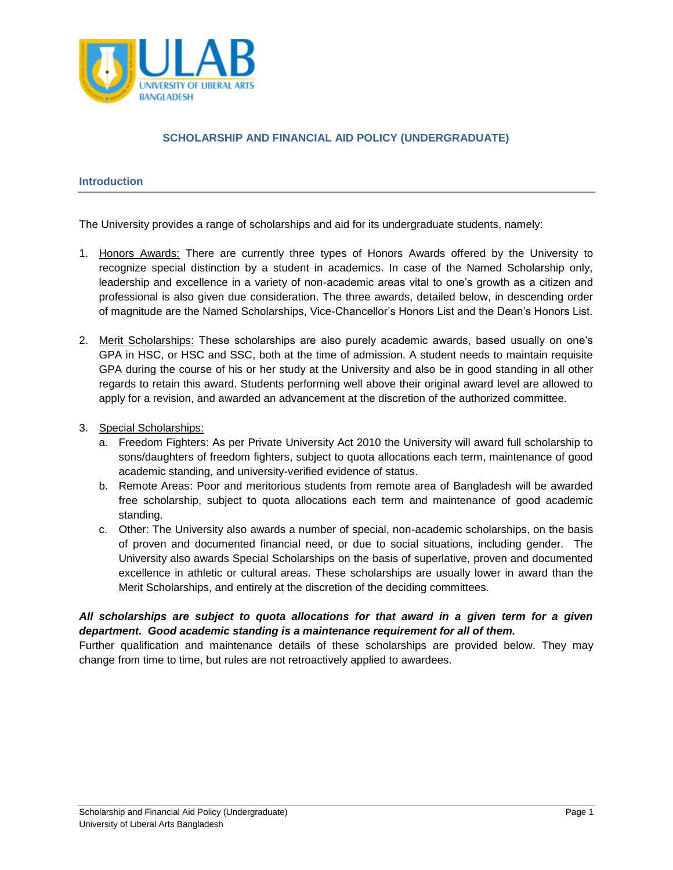

# **SCHOLARSHIP AND FINANCIAL AID POLICY (UNDERGRADUATE)**

## **Introduction**

The University provides a range of scholarships and aid for its undergraduate students, namely:

- 1. Honors Awards: There are currently three types of Honors Awards offered by the University to recognize special distinction by a student in academics. In case of the Named Scholarship only, leadership and excellence in a variety of non-academic areas vital to one's growth as a citizen and professional is also given due consideration. The three awards, detailed below, in descending order of magnitude are the Named Scholarships, Vice-Chancellor's Honors List and the Dean's Honors List.
- 2. Merit Scholarships: These scholarships are also purely academic awards, based usually on one's GPA in HSC, or HSC and SSC, both at the time of admission. A student needs to maintain requisite GPA during the course of his or her study at the University and also be in good standing in all other regards to retain this award. Students performing well above their original award level are allowed to apply for a revision, and awarded an advancement at the discretion of the authorized committee.
- 3. Special Scholarships:
	- a. Freedom Fighters: As per Private University Act 2010 the University will award full scholarship to sons/daughters of freedom fighters, subject to quota allocations each term, maintenance of good academic standing, and university-verified evidence of status.
	- b. Remote Areas: Poor and meritorious students from remote area of Bangladesh will be awarded free scholarship, subject to quota allocations each term and maintenance of good academic standing.
	- c. Other: The University also awards a number of special, non-academic scholarships, on the basis of proven and documented financial need, or due to social situations, including gender. The University also awards Special Scholarships on the basis of superlative, proven and documented excellence in athletic or cultural areas. These scholarships are usually lower in award than the Merit Scholarships, and entirely at the discretion of the deciding committees.

## *All scholarships are subject to quota allocations for that award in a given term for a given department. Good academic standing is a maintenance requirement for all of them.*

Further qualification and maintenance details of these scholarships are provided below. They may change from time to time, but rules are not retroactively applied to awardees.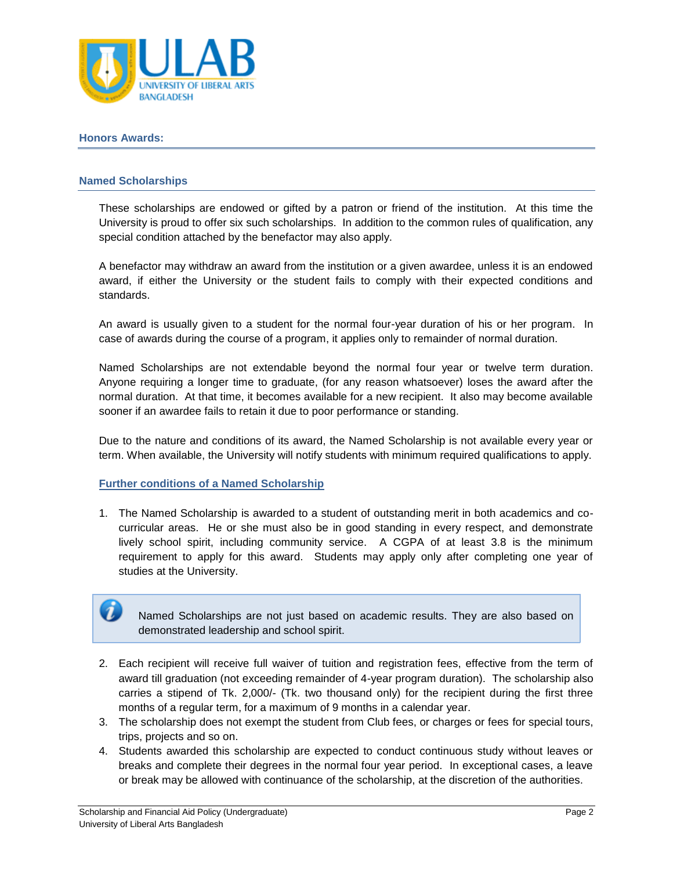

#### **Honors Awards:**

61

## **Named Scholarships**

These scholarships are endowed or gifted by a patron or friend of the institution. At this time the University is proud to offer six such scholarships. In addition to the common rules of qualification, any special condition attached by the benefactor may also apply.

A benefactor may withdraw an award from the institution or a given awardee, unless it is an endowed award, if either the University or the student fails to comply with their expected conditions and standards.

An award is usually given to a student for the normal four-year duration of his or her program. In case of awards during the course of a program, it applies only to remainder of normal duration.

Named Scholarships are not extendable beyond the normal four year or twelve term duration. Anyone requiring a longer time to graduate, (for any reason whatsoever) loses the award after the normal duration. At that time, it becomes available for a new recipient. It also may become available sooner if an awardee fails to retain it due to poor performance or standing.

Due to the nature and conditions of its award, the Named Scholarship is not available every year or term. When available, the University will notify students with minimum required qualifications to apply.

## **Further conditions of a Named Scholarship**

1. The Named Scholarship is awarded to a student of outstanding merit in both academics and cocurricular areas. He or she must also be in good standing in every respect, and demonstrate lively school spirit, including community service. A CGPA of at least 3.8 is the minimum requirement to apply for this award. Students may apply only after completing one year of studies at the University.

Named Scholarships are not just based on academic results. They are also based on demonstrated leadership and school spirit.

- 2. Each recipient will receive full waiver of tuition and registration fees, effective from the term of award till graduation (not exceeding remainder of 4-year program duration). The scholarship also carries a stipend of Tk. 2,000/- (Tk. two thousand only) for the recipient during the first three months of a regular term, for a maximum of 9 months in a calendar year.
- 3. The scholarship does not exempt the student from Club fees, or charges or fees for special tours, trips, projects and so on.
- 4. Students awarded this scholarship are expected to conduct continuous study without leaves or breaks and complete their degrees in the normal four year period. In exceptional cases, a leave or break may be allowed with continuance of the scholarship, at the discretion of the authorities.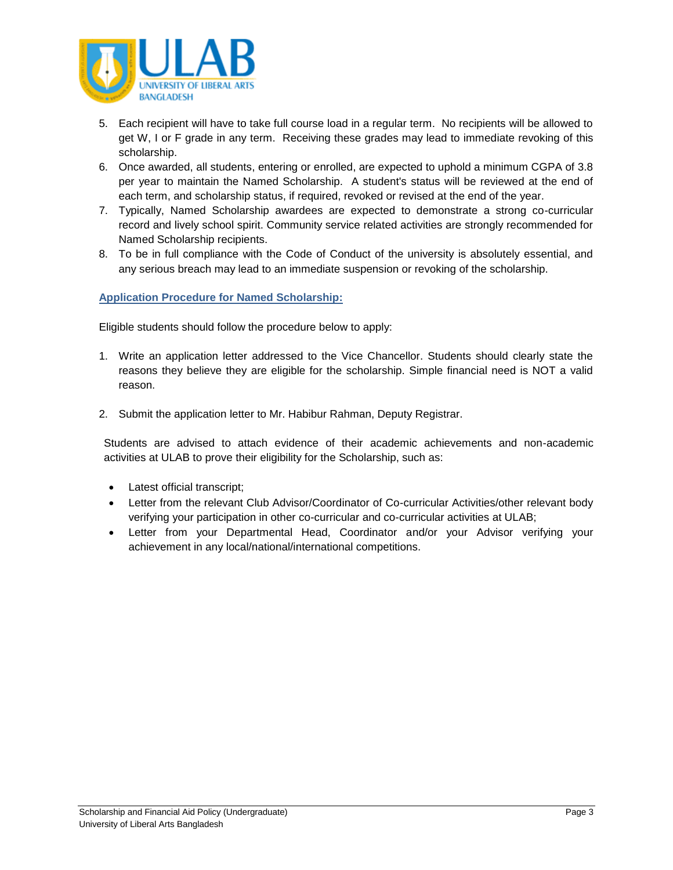

- 5. Each recipient will have to take full course load in a regular term. No recipients will be allowed to get W, I or F grade in any term. Receiving these grades may lead to immediate revoking of this scholarship.
- 6. Once awarded, all students, entering or enrolled, are expected to uphold a minimum CGPA of 3.8 per year to maintain the Named Scholarship. A student's status will be reviewed at the end of each term, and scholarship status, if required, revoked or revised at the end of the year.
- 7. Typically, Named Scholarship awardees are expected to demonstrate a strong co-curricular record and lively school spirit. Community service related activities are strongly recommended for Named Scholarship recipients.
- 8. To be in full compliance with the Code of Conduct of the university is absolutely essential, and any serious breach may lead to an immediate suspension or revoking of the scholarship.

## **Application Procedure for Named Scholarship:**

Eligible students should follow the procedure below to apply:

- 1. Write an application letter addressed to the Vice Chancellor. Students should clearly state the reasons they believe they are eligible for the scholarship. Simple financial need is NOT a valid reason.
- 2. Submit the application letter to Mr. Habibur Rahman, Deputy Registrar.

Students are advised to attach evidence of their academic achievements and non-academic activities at ULAB to prove their eligibility for the Scholarship, such as:

- Latest official transcript;
- Letter from the relevant Club Advisor/Coordinator of Co-curricular Activities/other relevant body verifying your participation in other co-curricular and co-curricular activities at ULAB;
- Letter from your Departmental Head, Coordinator and/or your Advisor verifying your achievement in any local/national/international competitions.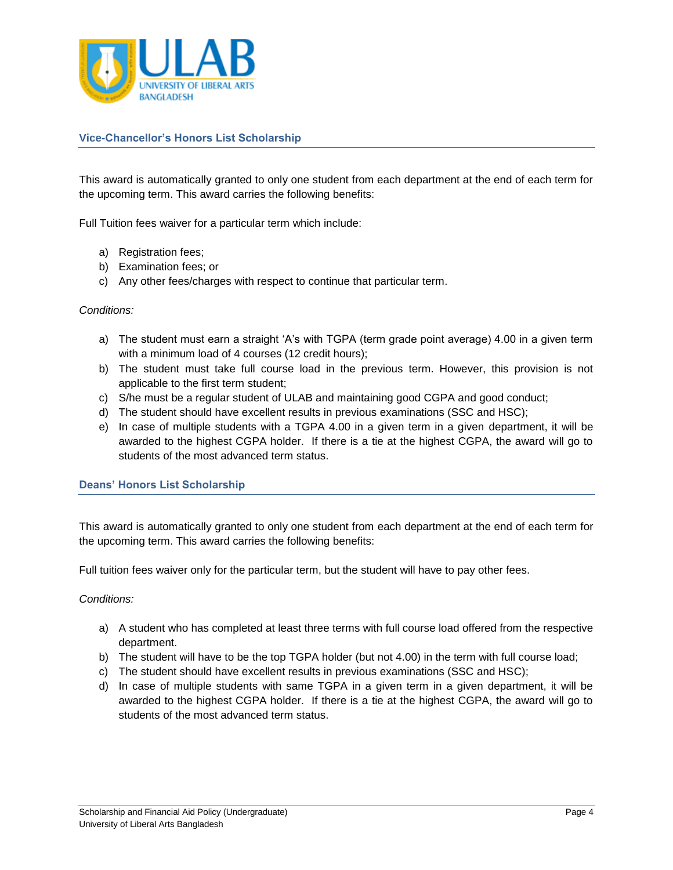

## **Vice-Chancellor's Honors List Scholarship**

This award is automatically granted to only one student from each department at the end of each term for the upcoming term. This award carries the following benefits:

Full Tuition fees waiver for a particular term which include:

- a) Registration fees;
- b) Examination fees; or
- c) Any other fees/charges with respect to continue that particular term.

#### *Conditions:*

- a) The student must earn a straight 'A's with TGPA (term grade point average) 4.00 in a given term with a minimum load of 4 courses (12 credit hours);
- b) The student must take full course load in the previous term. However, this provision is not applicable to the first term student;
- c) S/he must be a regular student of ULAB and maintaining good CGPA and good conduct;
- d) The student should have excellent results in previous examinations (SSC and HSC);
- e) In case of multiple students with a TGPA 4.00 in a given term in a given department, it will be awarded to the highest CGPA holder. If there is a tie at the highest CGPA, the award will go to students of the most advanced term status.

#### **Deans' Honors List Scholarship**

This award is automatically granted to only one student from each department at the end of each term for the upcoming term. This award carries the following benefits:

Full tuition fees waiver only for the particular term, but the student will have to pay other fees.

#### *Conditions:*

- a) A student who has completed at least three terms with full course load offered from the respective department.
- b) The student will have to be the top TGPA holder (but not 4.00) in the term with full course load;
- c) The student should have excellent results in previous examinations (SSC and HSC);
- d) In case of multiple students with same TGPA in a given term in a given department, it will be awarded to the highest CGPA holder. If there is a tie at the highest CGPA, the award will go to students of the most advanced term status.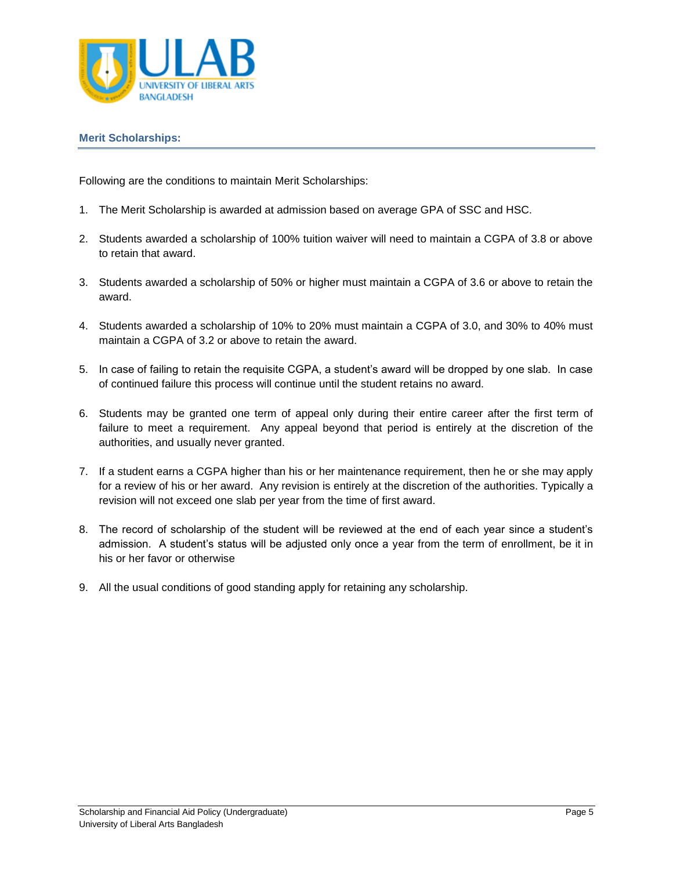

#### **Merit Scholarships:**

Following are the conditions to maintain Merit Scholarships:

- 1. The Merit Scholarship is awarded at admission based on average GPA of SSC and HSC.
- 2. Students awarded a scholarship of 100% tuition waiver will need to maintain a CGPA of 3.8 or above to retain that award.
- 3. Students awarded a scholarship of 50% or higher must maintain a CGPA of 3.6 or above to retain the award.
- 4. Students awarded a scholarship of 10% to 20% must maintain a CGPA of 3.0, and 30% to 40% must maintain a CGPA of 3.2 or above to retain the award.
- 5. In case of failing to retain the requisite CGPA, a student's award will be dropped by one slab. In case of continued failure this process will continue until the student retains no award.
- 6. Students may be granted one term of appeal only during their entire career after the first term of failure to meet a requirement. Any appeal beyond that period is entirely at the discretion of the authorities, and usually never granted.
- 7. If a student earns a CGPA higher than his or her maintenance requirement, then he or she may apply for a review of his or her award. Any revision is entirely at the discretion of the authorities. Typically a revision will not exceed one slab per year from the time of first award.
- 8. The record of scholarship of the student will be reviewed at the end of each year since a student's admission. A student's status will be adjusted only once a year from the term of enrollment, be it in his or her favor or otherwise
- 9. All the usual conditions of good standing apply for retaining any scholarship.